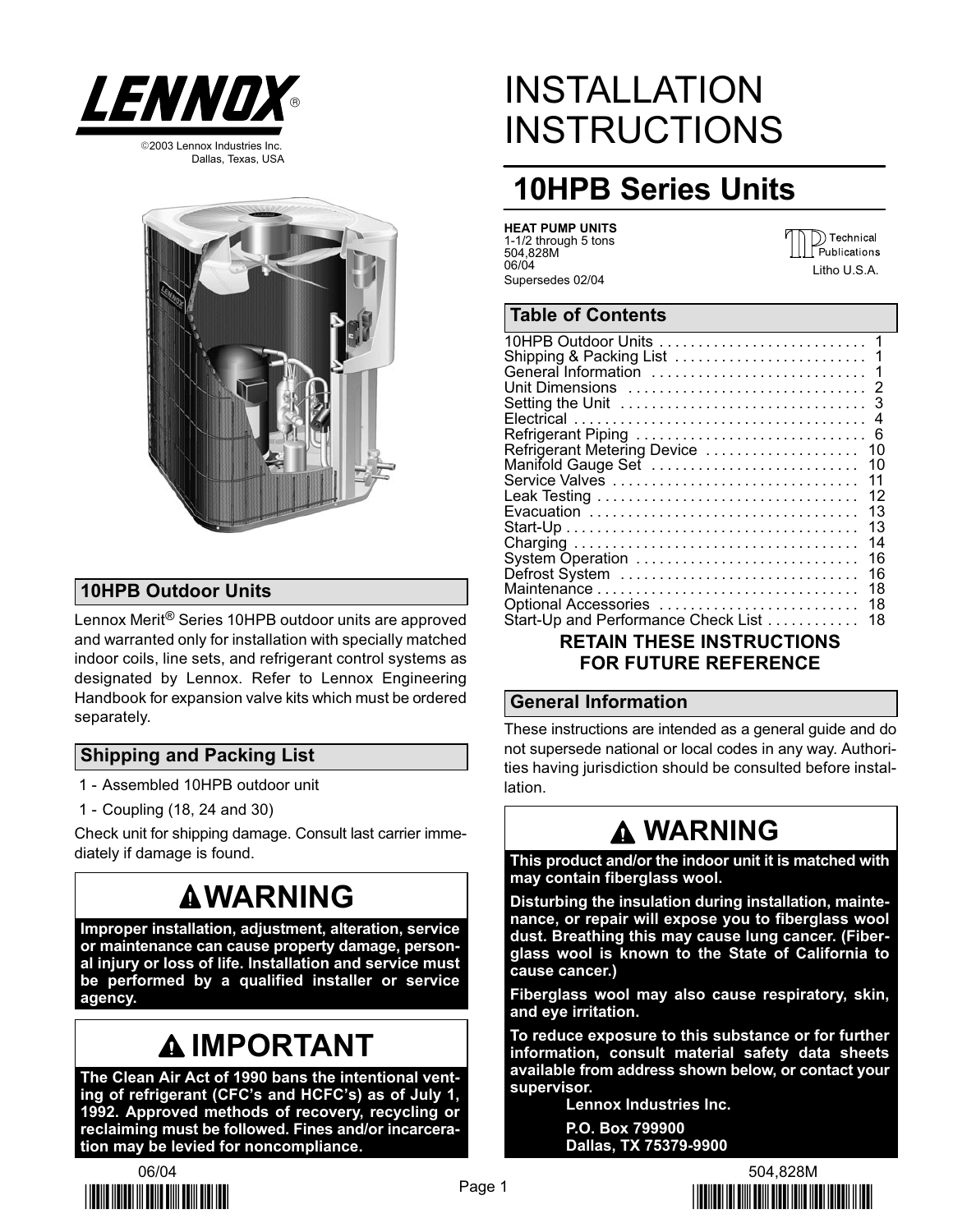

Dallas, Texas, USA



## 10HPB Outdoor Units

Lennox Merit® Series 10HPB outdoor units are approved and warranted only for installation with specially matched indoor coils, line sets, and refrigerant control systems as designated by Lennox. Refer to Lennox Engineering Handbook for expansion valve kits which must be ordered separately.

## Shipping and Packing List

- 1 − Assembled 10HPB outdoor unit
- 1 − Coupling (18, 24 and 30)

Check unit for shipping damage. Consult last carrier immediately if damage is found.

## **AWARNING**

Improper installation, adjustment, alteration, service or maintenance can cause property damage, personal injury or loss of life. Installation and service must be performed by a qualified installer or service agency.

# **AIMPORTANT**

The Clean Air Act of 1990 bans the intentional venting of refrigerant (CFC's and HCFC's) as of July 1, 1992. Approved methods of recovery, recycling or reclaiming must be followed. Fines and/or incarceration may be levied for noncompliance.



# INSTALLATION **INSTRUCTIONS**

## 10HPB Series Units

| <b>HEAT PUMP UNITS</b> |  |
|------------------------|--|
| 1-1/2 through 5 tons   |  |
| 504.828M               |  |
| 06/04                  |  |
| Supersedes 02/04       |  |

)) Technical Publications Litho U.S.A.

## Table of Contents

| 10HPB Outdoor Units                 |    |
|-------------------------------------|----|
| Shipping & Packing List             | 1  |
|                                     |    |
|                                     |    |
|                                     |    |
|                                     |    |
|                                     |    |
| Refrigerant Metering Device         | 10 |
| Manifold Gauge Set                  | 10 |
| Service Valves                      | 11 |
|                                     | 12 |
| Evacuation                          | 13 |
|                                     | 13 |
|                                     | 14 |
| System Operation                    | 16 |
| Defrost System                      | 16 |
|                                     | 18 |
| Optional Accessories                | 18 |
| Start-Up and Performance Check List | 18 |
|                                     |    |

### RETAIN THESE INSTRUCTIONS FOR FUTURE REFERENCE

#### General Information

These instructions are intended as a general guide and do not supersede national or local codes in any way. Authorities having jurisdiction should be consulted before installation.

## WARNING

This product and/or the indoor unit it is matched with may contain fiberglass wool.

Disturbing the insulation during installation, maintenance, or repair will expose you to fiberglass wool dust. Breathing this may cause lung cancer. (Fiberglass wool is known to the State of California to cause cancer.)

Fiberglass wool may also cause respiratory, skin, and eye irritation.

To reduce exposure to this substance or for further information, consult material safety data sheets available from address shown below, or contact your supervisor.

> Lennox Industries Inc. P.O. Box 799900

> Dallas, TX 75379−9900

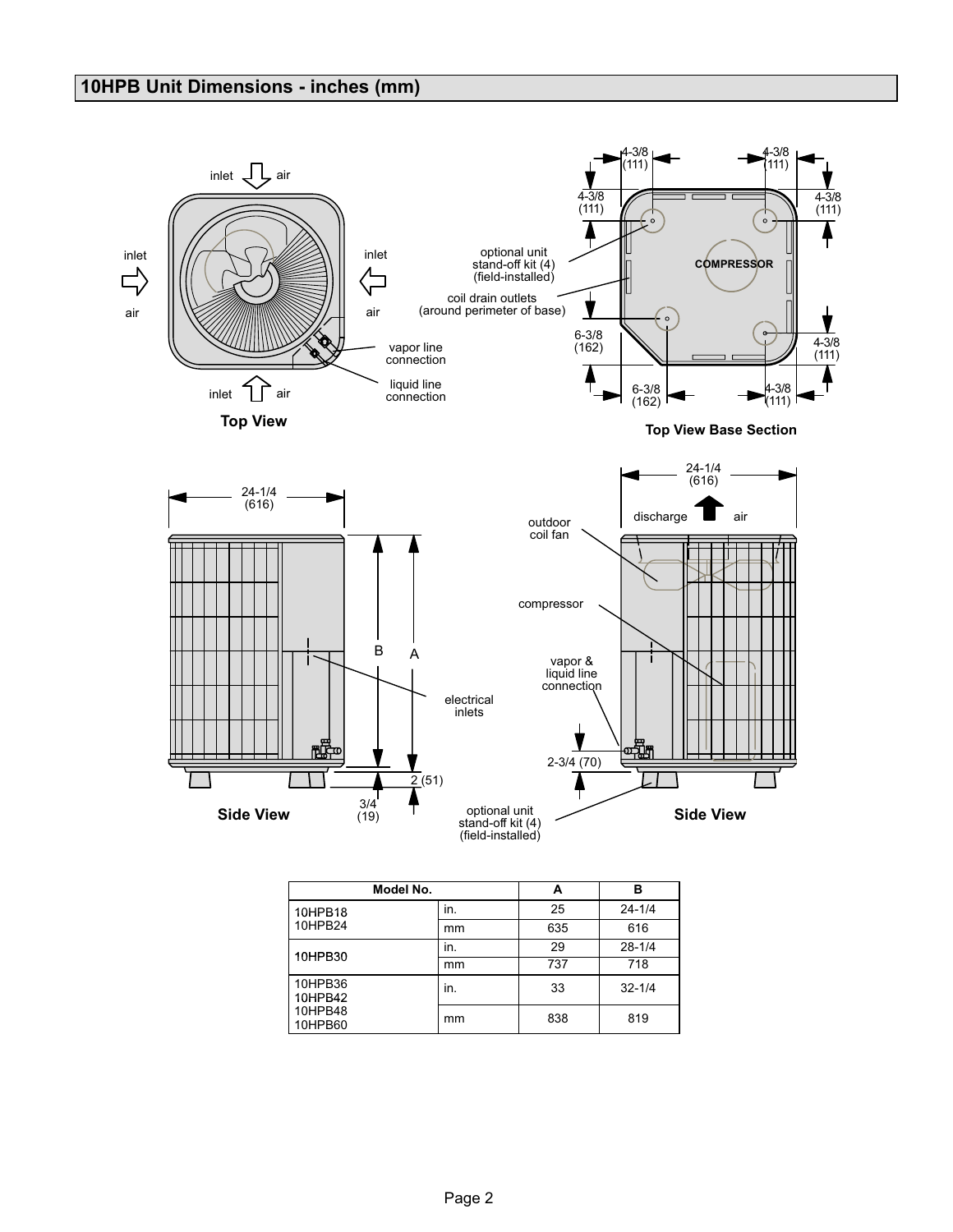## 10HPB Unit Dimensions − inches (mm)



|                    |     | --  |            |  |
|--------------------|-----|-----|------------|--|
| 10HPB18            | in. | 25  | $24 - 1/4$ |  |
| 10HPB24            | mm  | 635 | 616        |  |
| 10HPB30            | in. | 29  | $28 - 1/4$ |  |
|                    | mm  | 737 | 718        |  |
| 10HPB36<br>10HPB42 | in. | 33  | $32 - 1/4$ |  |
| 10HPB48<br>10HPB60 | mm  | 838 | 819        |  |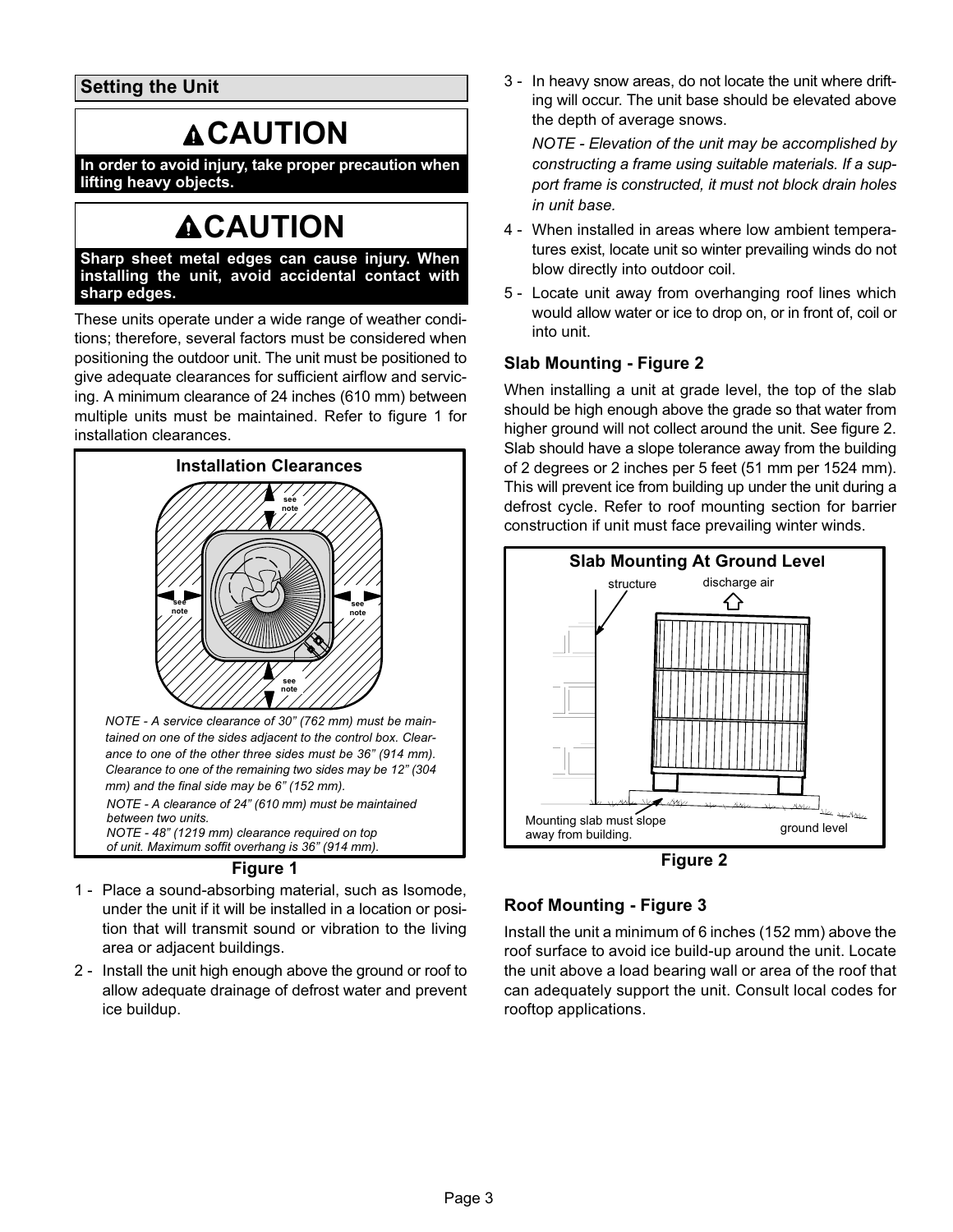Setting the Unit

# **ACAUTION**

In order to avoid injury, take proper precaution when lifting heavy objects.

# **ACAUTION**

Sharp sheet metal edges can cause injury. When installing the unit, avoid accidental contact with sharp edges.

These units operate under a wide range of weather conditions; therefore, several factors must be considered when positioning the outdoor unit. The unit must be positioned to give adequate clearances for sufficient airflow and servicing. A minimum clearance of 24 inches (610 mm) between multiple units must be maintained. Refer to figure 1 for installation clearances.



NOTE − A service clearance of 30" (762 mm) must be maintained on one of the sides adjacent to the control box. Clearance to one of the other three sides must be 36" (914 mm). Clearance to one of the remaining two sides may be 12" (304 mm) and the final side may be 6" (152 mm).

NOTE − A clearance of 24" (610 mm) must be maintained between two units. NOTE − 48" (1219 mm) clearance required on top

of unit. Maximum soffit overhang is 36" (914 mm).

#### Figure 1

- 1 Place a sound-absorbing material, such as Isomode, under the unit if it will be installed in a location or position that will transmit sound or vibration to the living area or adjacent buildings.
- 2 Install the unit high enough above the ground or roof to allow adequate drainage of defrost water and prevent ice buildup.

3 − In heavy snow areas, do not locate the unit where drifting will occur. The unit base should be elevated above the depth of average snows.

NOTE − Elevation of the unit may be accomplished by constructing a frame using suitable materials. If a support frame is constructed, it must not block drain holes in unit base.

- 4 − When installed in areas where low ambient temperatures exist, locate unit so winter prevailing winds do not blow directly into outdoor coil.
- 5 − Locate unit away from overhanging roof lines which would allow water or ice to drop on, or in front of, coil or into unit.

## Slab Mounting − Figure 2

When installing a unit at grade level, the top of the slab should be high enough above the grade so that water from higher ground will not collect around the unit. See figure 2. Slab should have a slope tolerance away from the building of 2 degrees or 2 inches per 5 feet (51 mm per 1524 mm). This will prevent ice from building up under the unit during a defrost cycle. Refer to roof mounting section for barrier construction if unit must face prevailing winter winds.



Figure 2

## Roof Mounting − Figure [3](#page-3-0)

Install the unit a minimum of 6 inches (152 mm) above the roof surface to avoid ice build−up around the unit. Locate the unit above a load bearing wall or area of the roof that can adequately support the unit. Consult local codes for rooftop applications.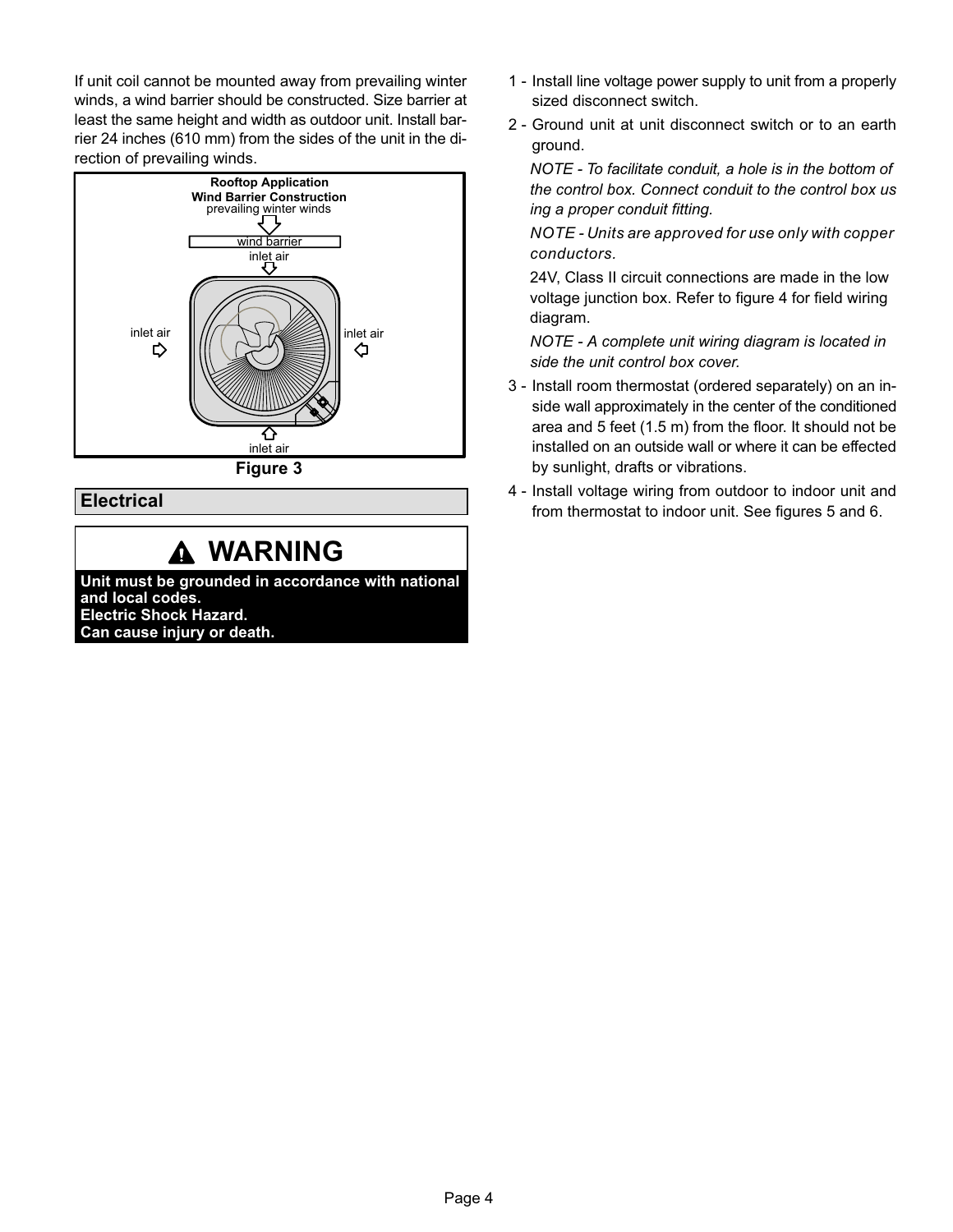<span id="page-3-0"></span>If unit coil cannot be mounted away from prevailing winter winds, a wind barrier should be constructed. Size barrier at least the same height and width as outdoor unit. Install barrier 24 inches (610 mm) from the sides of the unit in the direction of prevailing winds.



### **Electrical**

## WARNING

Unit must be grounded in accordance with national and local codes. Electric Shock Hazard. Can cause injury or death.

- 1 − Install line voltage power supply to unit from a properly sized disconnect switch.
- 2 − Ground unit at unit disconnect switch or to an earth ground.

NOTE − To facilitate conduit, a hole is in the bottom of the control box. Connect conduit to the control box us ing a proper conduit fitting.

NOTE − Units are approved for use only with copper conductors.

24V, Class II circuit connections are made in the low voltage junction box. Refer to figure [4](#page-4-0) for field wiring diagram.

NOTE − A complete unit wiring diagram is located in side the unit control box cover.

- 3 − Install room thermostat (ordered separately) on an inside wall approximately in the center of the conditioned area and 5 feet (1.5 m) from the floor. It should not be installed on an outside wall or where it can be effected by sunlight, drafts or vibrations.
- 4 − Install voltage wiring from outdoor to indoor unit and from thermostat to indoor unit. See figures [5](#page-4-0) and [6.](#page-4-0)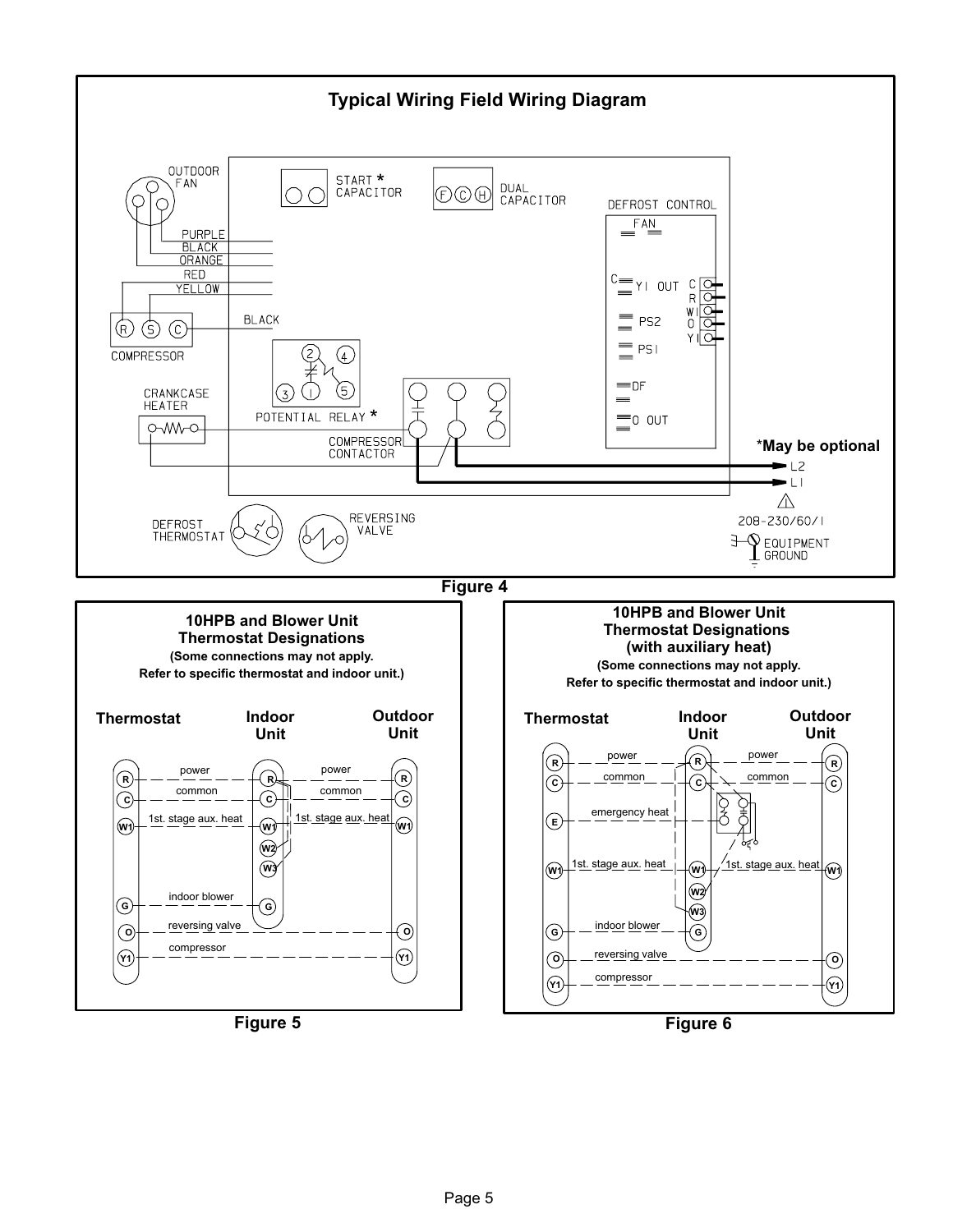<span id="page-4-0"></span>

Figure 5

Figure 6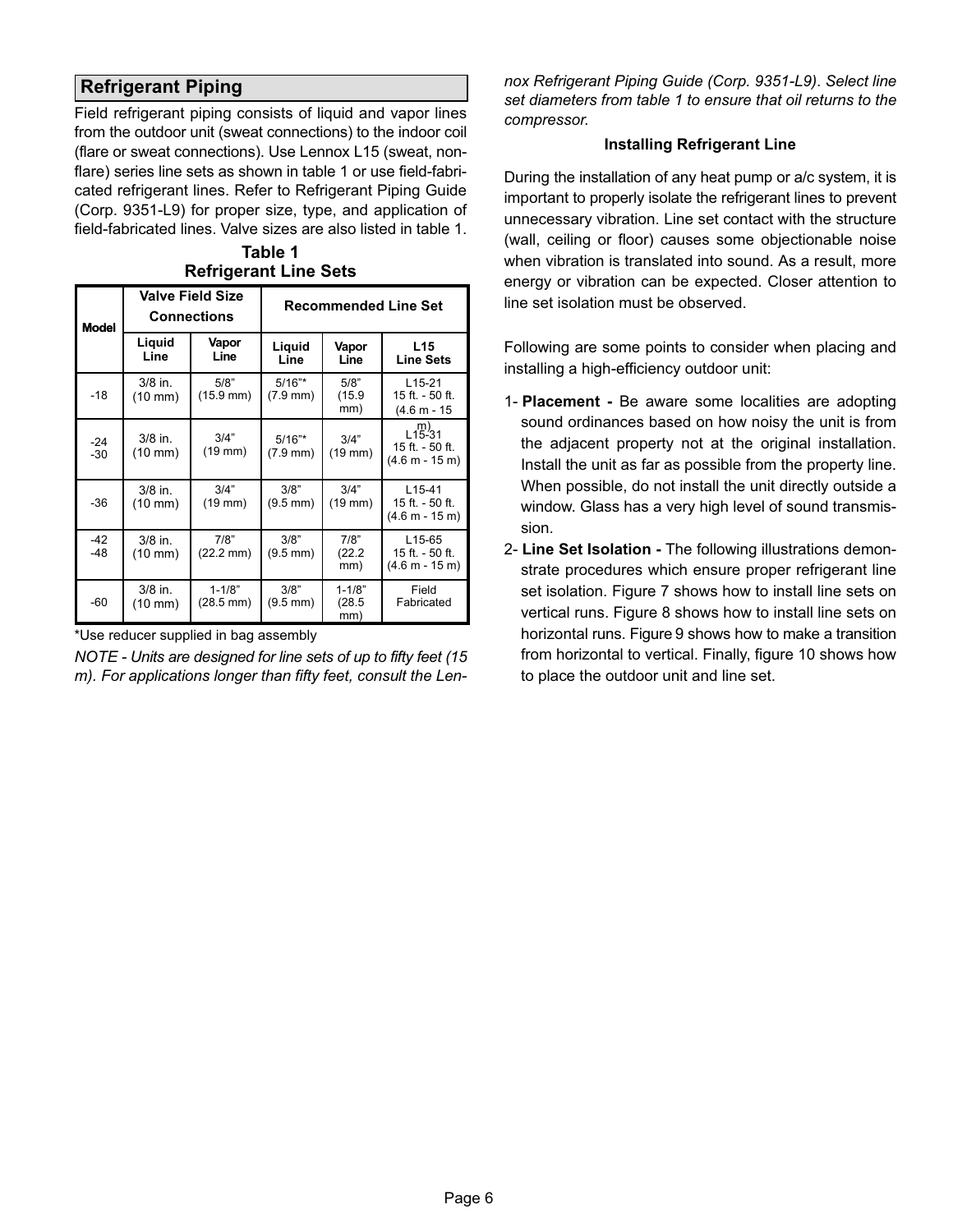## Refrigerant Piping

Field refrigerant piping consists of liquid and vapor lines from the outdoor unit (sweat connections) to the indoor coil (flare or sweat connections). Use Lennox L15 (sweat, nonflare) series line sets as shown in table 1 or use field-fabricated refrigerant lines. Refer to Refrigerant Piping Guide (Corp. 9351−L9) for proper size, type, and application of field−fabricated lines. Valve sizes are also listed in table 1.

| Table 1                      |  |
|------------------------------|--|
| <b>Refrigerant Line Sets</b> |  |

| Model          |                                | <b>Valve Field Size</b><br>Connections | <b>Recommended Line Set</b>     |                             |                                                            |  |  |  |  |
|----------------|--------------------------------|----------------------------------------|---------------------------------|-----------------------------|------------------------------------------------------------|--|--|--|--|
|                | Liquid<br>Line                 | Vapor<br>Line                          | Liguid<br>Line                  | Vapor<br>Line               | L15<br><b>Line Sets</b>                                    |  |  |  |  |
| $-18$          | $3/8$ in.<br>$(10 \text{ mm})$ | 5/8"<br>$(15.9 \text{ mm})$            | $5/16"$ *<br>$(7.9 \text{ mm})$ | 5/8"<br>(15.9)<br>mm)       | $L15-21$<br>15 ft. - 50 ft.<br>$(4.6 m - 15)$              |  |  |  |  |
| $-24$<br>$-30$ | $3/8$ in.<br>$(10 \text{ mm})$ | 3/4"<br>$(19 \text{ mm})$              | $5/16"$ *<br>$(7.9 \text{ mm})$ | 3/4"<br>$(19$ mm $)$        | $L_{15-31}^{m}$<br>15 ft. - 50 ft.<br>$(4.6 m - 15 m)$     |  |  |  |  |
| $-36$          | $3/8$ in.<br>$(10 \text{ mm})$ | 3/4"<br>$(19$ mm $)$                   | 3/8"<br>$(9.5 \, \text{mm})$    | 3/4"<br>$(19$ mm $)$        | $L15-41$<br>15 ft. - 50 ft.<br>(4.6 m - 15 m)              |  |  |  |  |
| $-42$<br>$-48$ | $3/8$ in.<br>$(10 \text{ mm})$ | 7/8"<br>$(22.2 \text{ mm})$            | 3/8"<br>$(9.5 \, \text{mm})$    | 7/8"<br>(22.2)<br>mm)       | L <sub>15</sub> -65<br>15 ft. - 50 ft.<br>$(4.6 m - 15 m)$ |  |  |  |  |
| -60            | $3/8$ in.<br>$(10 \text{ mm})$ | $1 - 1/8"$<br>$(28.5 \text{ mm})$      | 3/8"<br>$(9.5 \text{ mm})$      | $1 - 1/8"$<br>(28.5)<br>mm) | Field<br>Fabricated                                        |  |  |  |  |

\*Use reducer supplied in bag assembly

NOTE − Units are designed for line sets of up to fifty feet (15 m). For applications longer than fifty feet, consult the Lennox Refrigerant Piping Guide (Corp. 9351−L9). Select line set diameters from table 1 to ensure that oil returns to the compressor.

#### Installing Refrigerant Line

During the installation of any heat pump or a/c system, it is important to properly isolate the refrigerant lines to prevent unnecessary vibration. Line set contact with the structure (wall, ceiling or floor) causes some objectionable noise when vibration is translated into sound. As a result, more energy or vibration can be expected. Closer attention to line set isolation must be observed.

Following are some points to consider when placing and installing a high−efficiency outdoor unit:

- 1- Placement − Be aware some localities are adopting sound ordinances based on how noisy the unit is from the adjacent property not at the original installation. Install the unit as far as possible from the property line. When possible, do not install the unit directly outside a window. Glass has a very high level of sound transmission.
- 2- Line Set Isolation The following illustrations demonstrate procedures which ensure proper refrigerant line set isolation. Figure [7](#page-6-0) shows how to install line sets on vertical runs. Figure [8](#page-7-0) shows how to install line sets on horizontal runs. Figure [9](#page-8-0) shows how to make a transition from horizontal to vertical. Finally, figure [10](#page-8-0) shows how to place the outdoor unit and line set.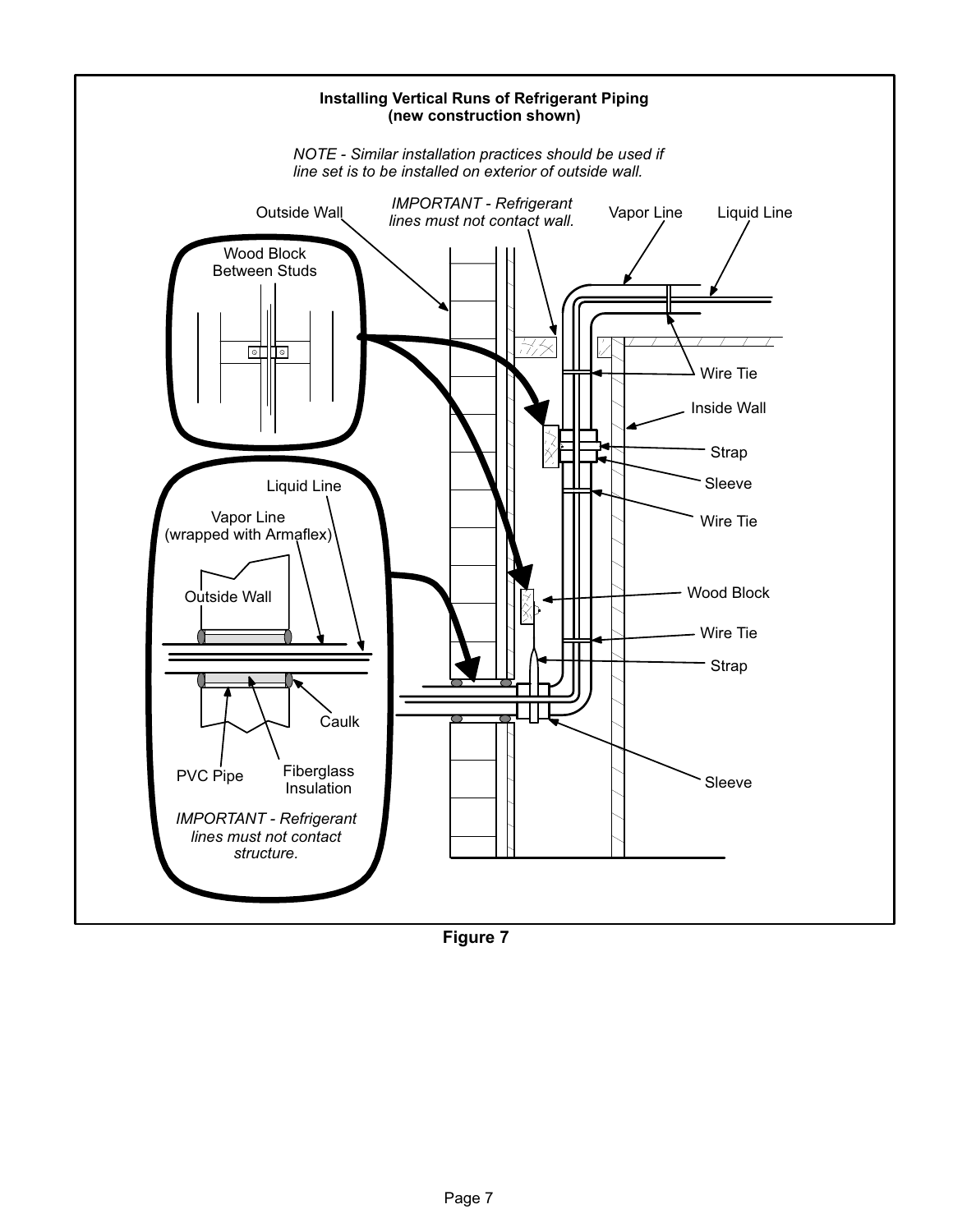<span id="page-6-0"></span>

Figure 7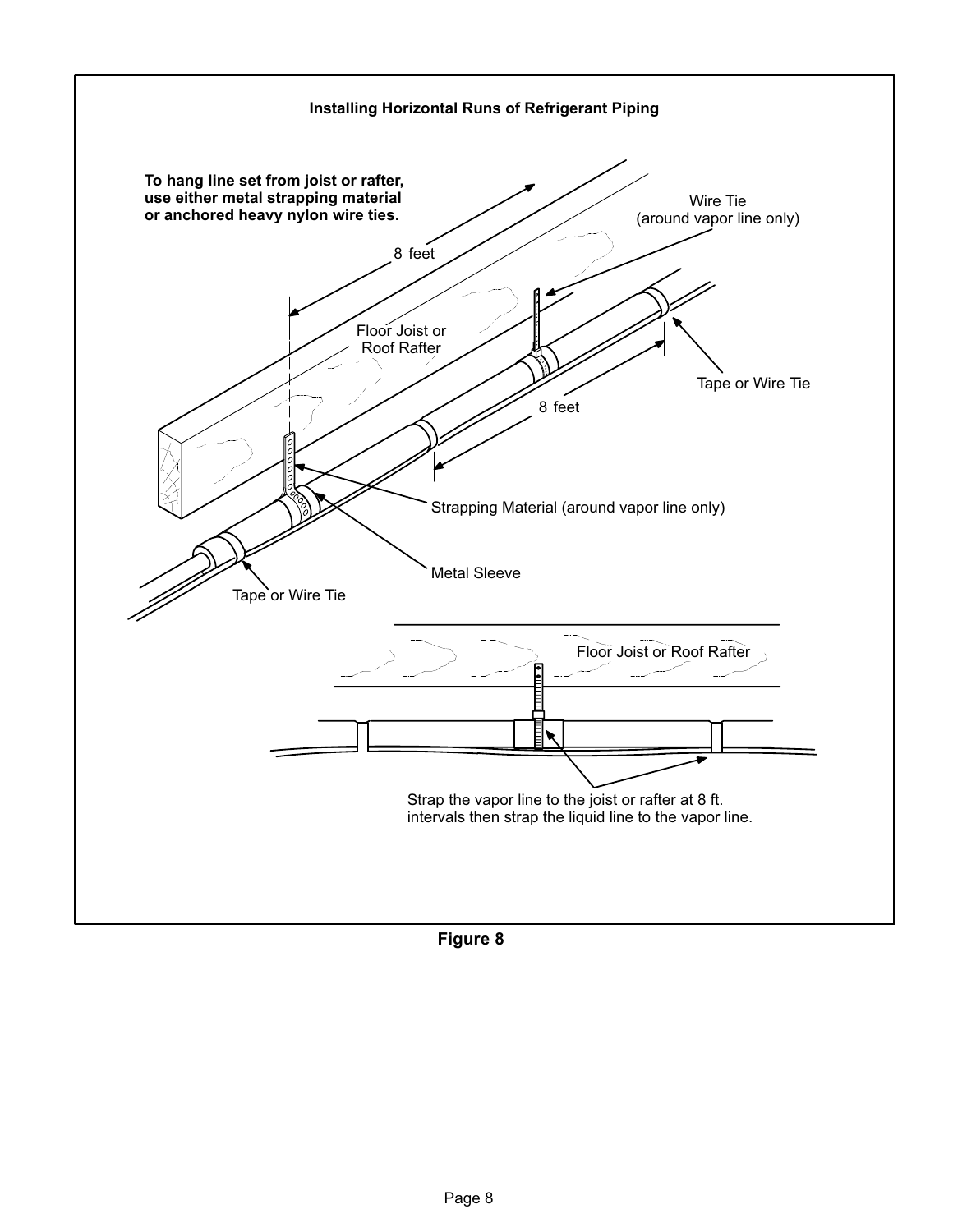<span id="page-7-0"></span>

Figure 8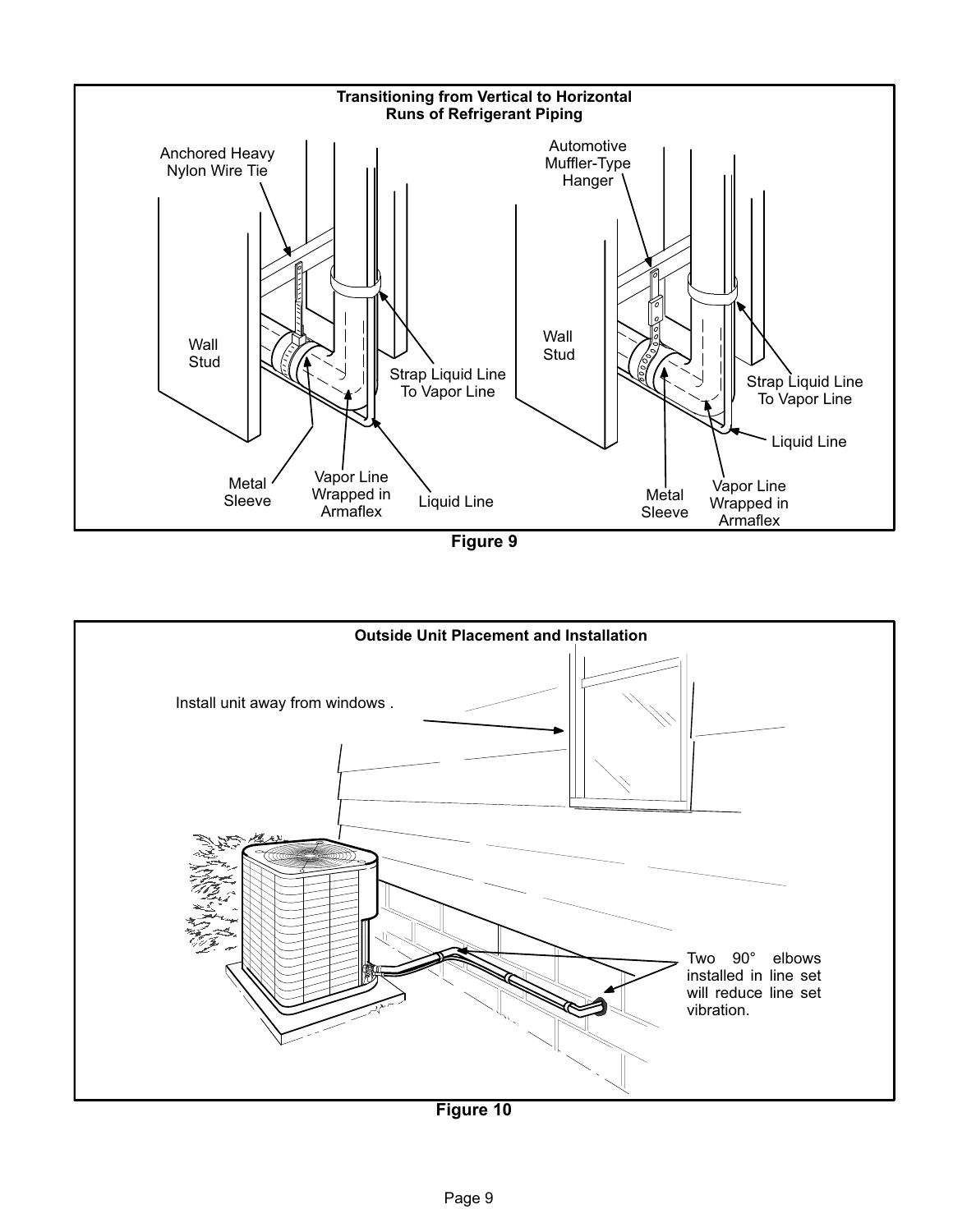<span id="page-8-0"></span>

Figure 9



Figure 10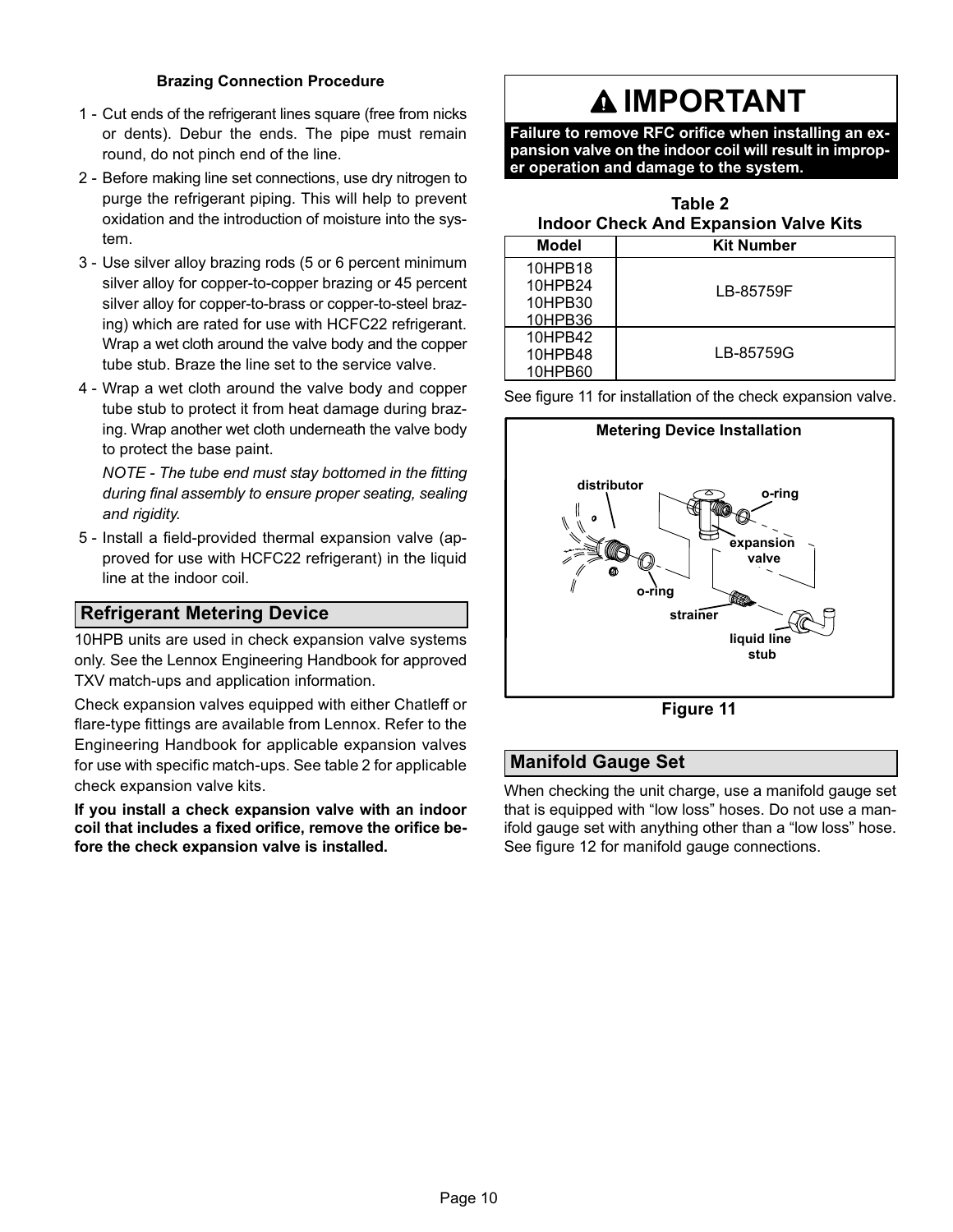#### Brazing Connection Procedure

- 1 − Cut ends of the refrigerant lines square (free from nicks or dents). Debur the ends. The pipe must remain round, do not pinch end of the line.
- 2 − Before making line set connections, use dry nitrogen to purge the refrigerant piping. This will help to prevent oxidation and the introduction of moisture into the system.
- 3 − Use silver alloy brazing rods (5 or 6 percent minimum silver alloy for copper−to−copper brazing or 45 percent silver alloy for copper−to−brass or copper−to−steel brazing) which are rated for use with HCFC22 refrigerant. Wrap a wet cloth around the valve body and the copper tube stub. Braze the line set to the service valve.
- 4 − Wrap a wet cloth around the valve body and copper tube stub to protect it from heat damage during brazing. Wrap another wet cloth underneath the valve body to protect the base paint.

NOTE − The tube end must stay bottomed in the fitting during final assembly to ensure proper seating, sealing and rigidity.

 5 − Install a field−provided thermal expansion valve (approved for use with HCFC22 refrigerant) in the liquid line at the indoor coil.

### Refrigerant Metering Device

10HPB units are used in check expansion valve systems only. See the Lennox Engineering Handbook for approved TXV match-ups and application information.

Check expansion valves equipped with either Chatleff or flare−type fittings are available from Lennox. Refer to the Engineering Handbook for applicable expansion valves for use with specific match-ups. See table 2 for applicable check expansion valve kits.

If you install a check expansion valve with an indoor coil that includes a fixed orifice, remove the orifice before the check expansion valve is installed.

## **A IMPORTANT**

Failure to remove RFC orifice when installing an expansion valve on the indoor coil will result in improper operation and damage to the system.

|        | Table 2                                      |
|--------|----------------------------------------------|
|        | <b>Indoor Check And Expansion Valve Kits</b> |
| -- - - |                                              |

| <b>Model</b>       | <b>Kit Number</b> |
|--------------------|-------------------|
| 10HPB18<br>10HPB24 | LB-85759F         |
| 10HPB30<br>10HPB36 |                   |
| 10HPB42<br>10HPB48 | LB-85759G         |
| 10HPB60            |                   |

See figure 11 for installation of the check expansion valve.



Figure 11

### Manifold Gauge Set

When checking the unit charge, use a manifold gauge set that is equipped with "low loss" hoses. Do not use a manifold gauge set with anything other than a "low loss" hose. See figure [12](#page-10-0) for manifold gauge connections.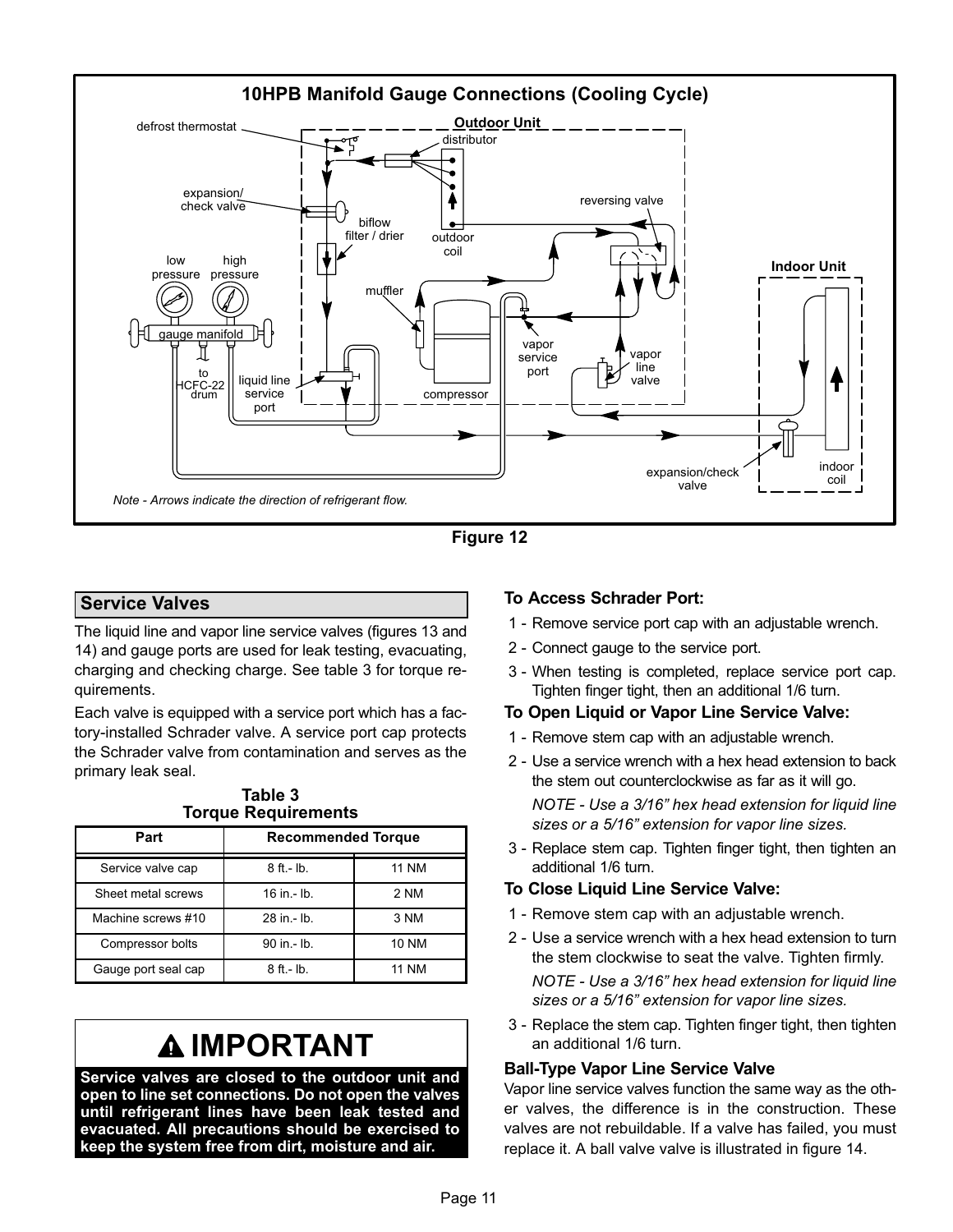<span id="page-10-0"></span>



### Service Valves

The liquid line and vapor line service valves (figures [13](#page-11-0) and [14\)](#page-11-0) and gauge ports are used for leak testing, evacuating, charging and checking charge. See table 3 for torque requirements.

Each valve is equipped with a service port which has a factory−installed Schrader valve. A service port cap protects the Schrader valve from contamination and serves as the primary leak seal.

|                     | . 0. 900 . 1090. 10. 110. 110 |              |
|---------------------|-------------------------------|--------------|
| Part                | <b>Recommended Torque</b>     |              |
| Service valve cap   | $8$ ft.- $lb$ .               | <b>11 NM</b> |
| Sheet metal screws  | $16$ in $-$ lb.               | 2 NM         |
| Machine screws #10  | 28 in - lb.                   | 3 NM         |
| Compressor bolts    | 90 in.- lb.                   | <b>10 NM</b> |
| Gauge port seal cap | $8$ ft.- $lb$ .               | <b>11 NM</b> |

#### Table 3 Torque Poquirements

# IMPORTANT

Service valves are closed to the outdoor unit and open to line set connections. Do not open the valves until refrigerant lines have been leak tested and evacuated. All precautions should be exercised to keep the system free from dirt, moisture and air.

#### To Access Schrader Port:

- 1 − Remove service port cap with an adjustable wrench.
- 2 − Connect gauge to the service port.
- 3 − When testing is completed, replace service port cap. Tighten finger tight, then an additional 1/6 turn.
- To Open Liquid or Vapor Line Service Valve:
- 1 − Remove stem cap with an adjustable wrench.
- 2 − Use a service wrench with a hex head extension to back the stem out counterclockwise as far as it will go. NOTE − Use a 3/16" hex head extension for liquid line

sizes or a 5/16" extension for vapor line sizes.

 3 − Replace stem cap. Tighten finger tight, then tighten an additional 1/6 turn.

#### To Close Liquid Line Service Valve:

- 1 − Remove stem cap with an adjustable wrench.
- 2 − Use a service wrench with a hex head extension to turn the stem clockwise to seat the valve. Tighten firmly.

NOTE − Use a 3/16" hex head extension for liquid line sizes or a 5/16" extension for vapor line sizes.

 3 − Replace the stem cap. Tighten finger tight, then tighten an additional 1/6 turn.

#### Ball−Type Vapor Line Service Valve

Vapor line service valves function the same way as the other valves, the difference is in the construction. These valves are not rebuildable. If a valve has failed, you must replace it. A ball valve valve is illustrated in figure [14](#page-11-0).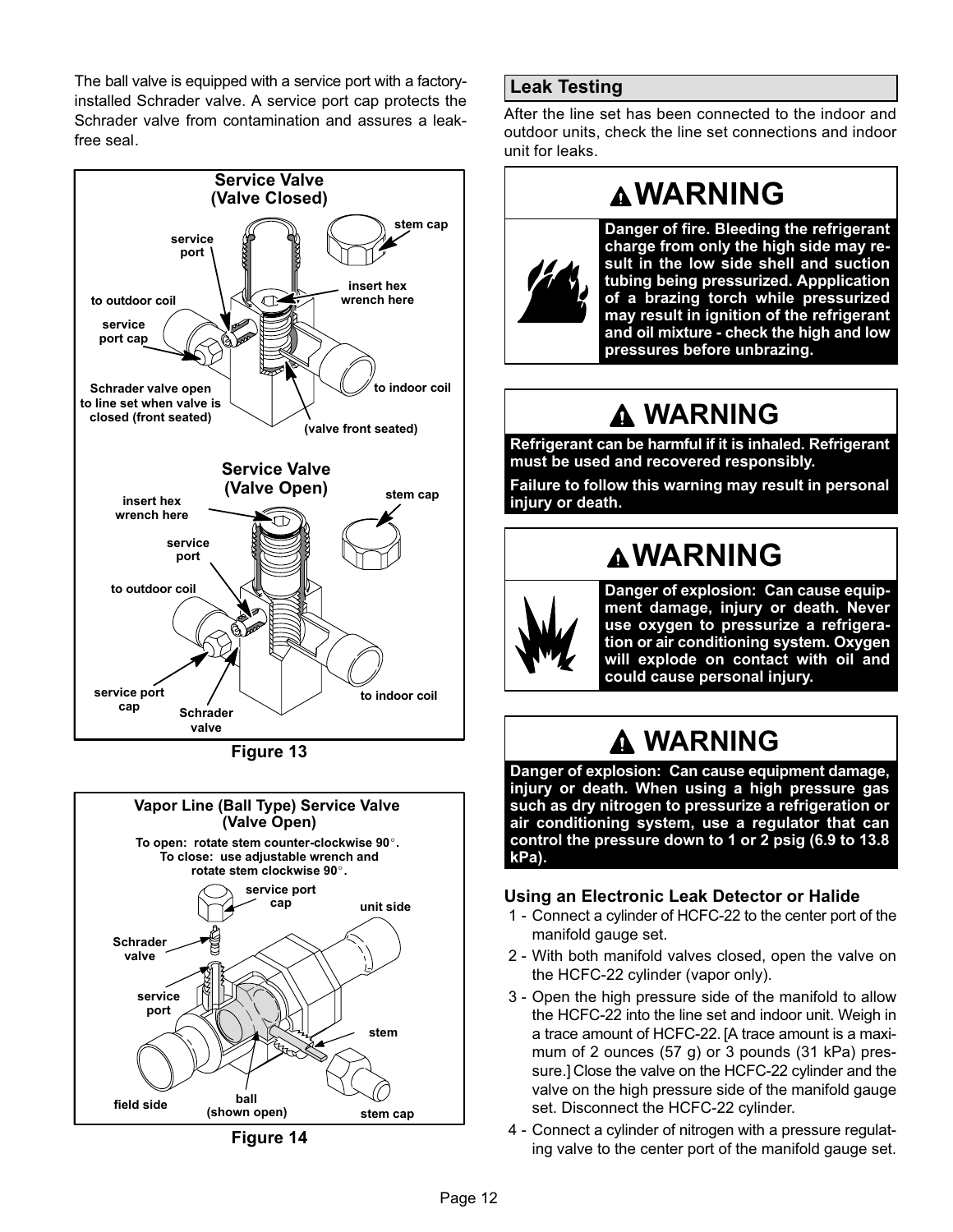<span id="page-11-0"></span>The ball valve is equipped with a service port with a factory− installed Schrader valve. A service port cap protects the Schrader valve from contamination and assures a leak− free seal.



Figure 13



Figure 14

## Leak Testing

After the line set has been connected to the indoor and outdoor units, check the line set connections and indoor unit for leaks.

## WARNING



Danger of fire. Bleeding the refrigerant charge from only the high side may result in the low side shell and suction tubing being pressurized. Appplication of a brazing torch while pressurized may result in ignition of the refrigerant and oil mixture − check the high and low pressures before unbrazing.

## WARNING

Refrigerant can be harmful if it is inhaled. Refrigerant must be used and recovered responsibly.

Failure to follow this warning may result in personal injury or death.

## WARNING



Danger of explosion: Can cause equipment damage, injury or death. Never use oxygen to pressurize a refrigeration or air conditioning system. Oxygen will explode on contact with oil and could cause personal injury.

## WARNING

Danger of explosion: Can cause equipment damage, injury or death. When using a high pressure gas such as dry nitrogen to pressurize a refrigeration or air conditioning system, use a regulator that can control the pressure down to 1 or 2 psig (6.9 to 13.8 kPa).

### Using an Electronic Leak Detector or Halide

- 1 − Connect a cylinder of HCFC-22 to the center port of the manifold gauge set.
- 2 With both manifold valves closed, open the valve on the HCFC-22 cylinder (vapor only).
- 3 − Open the high pressure side of the manifold to allow the HCFC-22 into the line set and indoor unit. Weigh in a trace amount of HCFC-22. [A trace amount is a maximum of 2 ounces (57 g) or 3 pounds (31 kPa) pressure.] Close the valve on the HCFC-22 cylinder and the valve on the high pressure side of the manifold gauge set. Disconnect the HCFC-22 cylinder.
- 4 − Connect a cylinder of nitrogen with a pressure regulating valve to the center port of the manifold gauge set.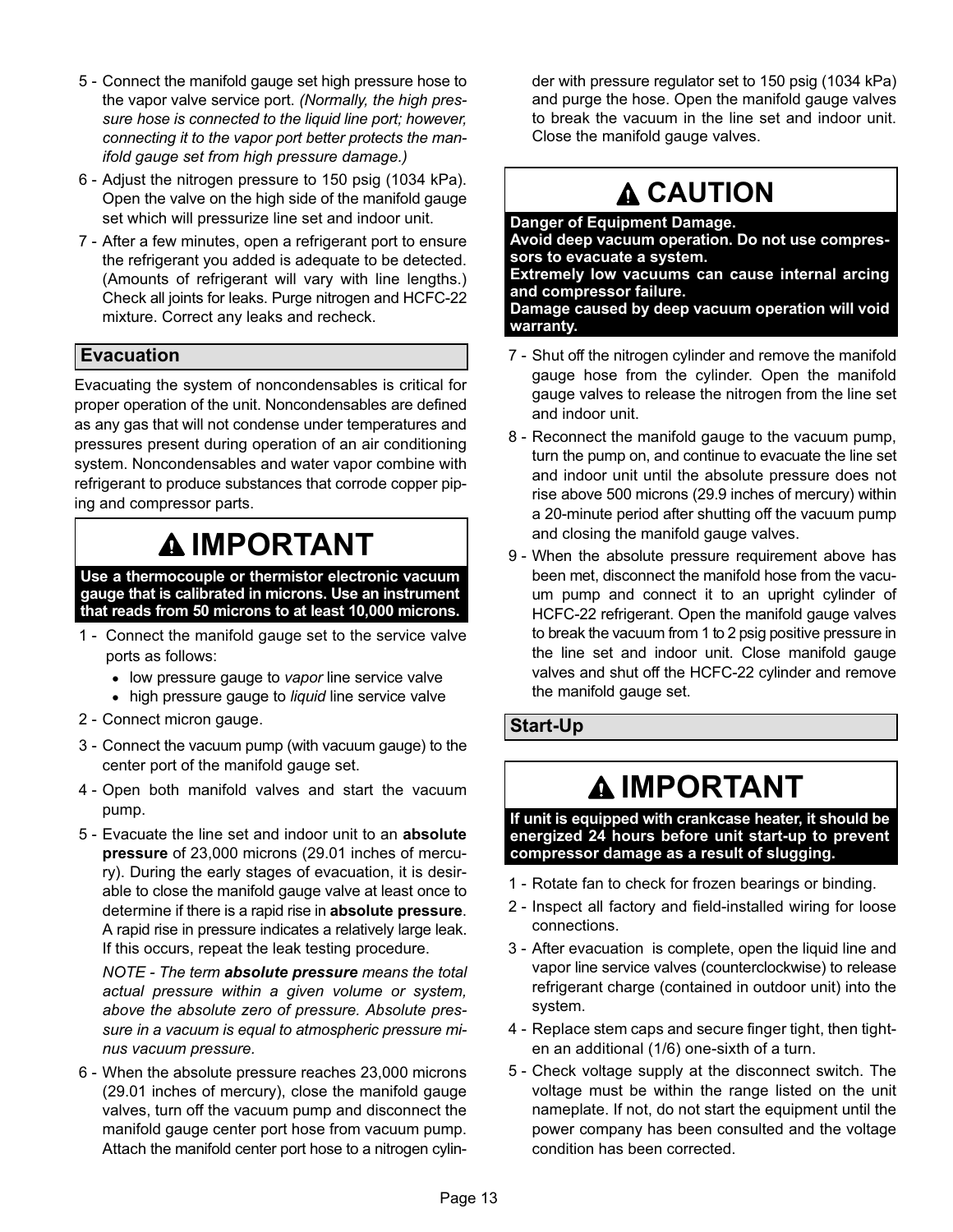- 5 − Connect the manifold gauge set high pressure hose to the vapor valve service port. (Normally, the high pressure hose is connected to the liquid line port; however, connecting it to the vapor port better protects the manifold gauge set from high pressure damage.)
- 6 − Adjust the nitrogen pressure to 150 psig (1034 kPa). Open the valve on the high side of the manifold gauge set which will pressurize line set and indoor unit.
- 7 After a few minutes, open a refrigerant port to ensure the refrigerant you added is adequate to be detected. (Amounts of refrigerant will vary with line lengths.) Check all joints for leaks. Purge nitrogen and HCFC-22 mixture. Correct any leaks and recheck.

## Evacuation

Evacuating the system of noncondensables is critical for proper operation of the unit. Noncondensables are defined as any gas that will not condense under temperatures and pressures present during operation of an air conditioning system. Noncondensables and water vapor combine with refrigerant to produce substances that corrode copper piping and compressor parts.

## IMPORTANT

Use a thermocouple or thermistor electronic vacuum gauge that is calibrated in microns. Use an instrument that reads from 50 microns to at least 10,000 microns.

- 1 Connect the manifold gauge set to the service valve ports as follows:
	- low pressure gauge to vapor line service valve
	- high pressure gauge to liquid line service valve
- 2 − Connect micron gauge.
- 3 − Connect the vacuum pump (with vacuum gauge) to the center port of the manifold gauge set.
- 4 − Open both manifold valves and start the vacuum pump.
- 5 Evacuate the line set and indoor unit to an absolute pressure of 23,000 microns (29.01 inches of mercury). During the early stages of evacuation, it is desirable to close the manifold gauge valve at least once to determine if there is a rapid rise in absolute pressure. A rapid rise in pressure indicates a relatively large leak. If this occurs, repeat the leak testing procedure.

NOTE - The term absolute pressure means the total actual pressure within a given volume or system, above the absolute zero of pressure. Absolute pressure in a vacuum is equal to atmospheric pressure minus vacuum pressure.

 6 − When the absolute pressure reaches 23,000 microns (29.01 inches of mercury), close the manifold gauge valves, turn off the vacuum pump and disconnect the manifold gauge center port hose from vacuum pump. Attach the manifold center port hose to a nitrogen cylin-

der with pressure regulator set to 150 psig (1034 kPa) and purge the hose. Open the manifold gauge valves to break the vacuum in the line set and indoor unit. Close the manifold gauge valves.

## **A CAUTION**

## Danger of Equipment Damage.

Avoid deep vacuum operation. Do not use compressors to evacuate a system.

Extremely low vacuums can cause internal arcing and compressor failure.

Damage caused by deep vacuum operation will void warranty.

- 7 − Shut off the nitrogen cylinder and remove the manifold gauge hose from the cylinder. Open the manifold gauge valves to release the nitrogen from the line set and indoor unit.
- 8 Reconnect the manifold gauge to the vacuum pump, turn the pump on, and continue to evacuate the line set and indoor unit until the absolute pressure does not rise above 500 microns (29.9 inches of mercury) within a 20−minute period after shutting off the vacuum pump and closing the manifold gauge valves.
- 9 When the absolute pressure requirement above has been met, disconnect the manifold hose from the vacuum pump and connect it to an upright cylinder of HCFC-22 refrigerant. Open the manifold gauge valves to break the vacuum from 1 to 2 psig positive pressure in the line set and indoor unit. Close manifold gauge valves and shut off the HCFC-22 cylinder and remove the manifold gauge set.

## Start−Up

## IMPORTANT

If unit is equipped with crankcase heater, it should be energized 24 hours before unit start−up to prevent compressor damage as a result of slugging.

- 1 Rotate fan to check for frozen bearings or binding.
- 2 − Inspect all factory and field-installed wiring for loose connections.
- 3 − After evacuation is complete, open the liquid line and vapor line service valves (counterclockwise) to release refrigerant charge (contained in outdoor unit) into the system.
- 4 − Replace stem caps and secure finger tight, then tighten an additional (1/6) one-sixth of a turn.
- 5 Check voltage supply at the disconnect switch. The voltage must be within the range listed on the unit nameplate. If not, do not start the equipment until the power company has been consulted and the voltage condition has been corrected.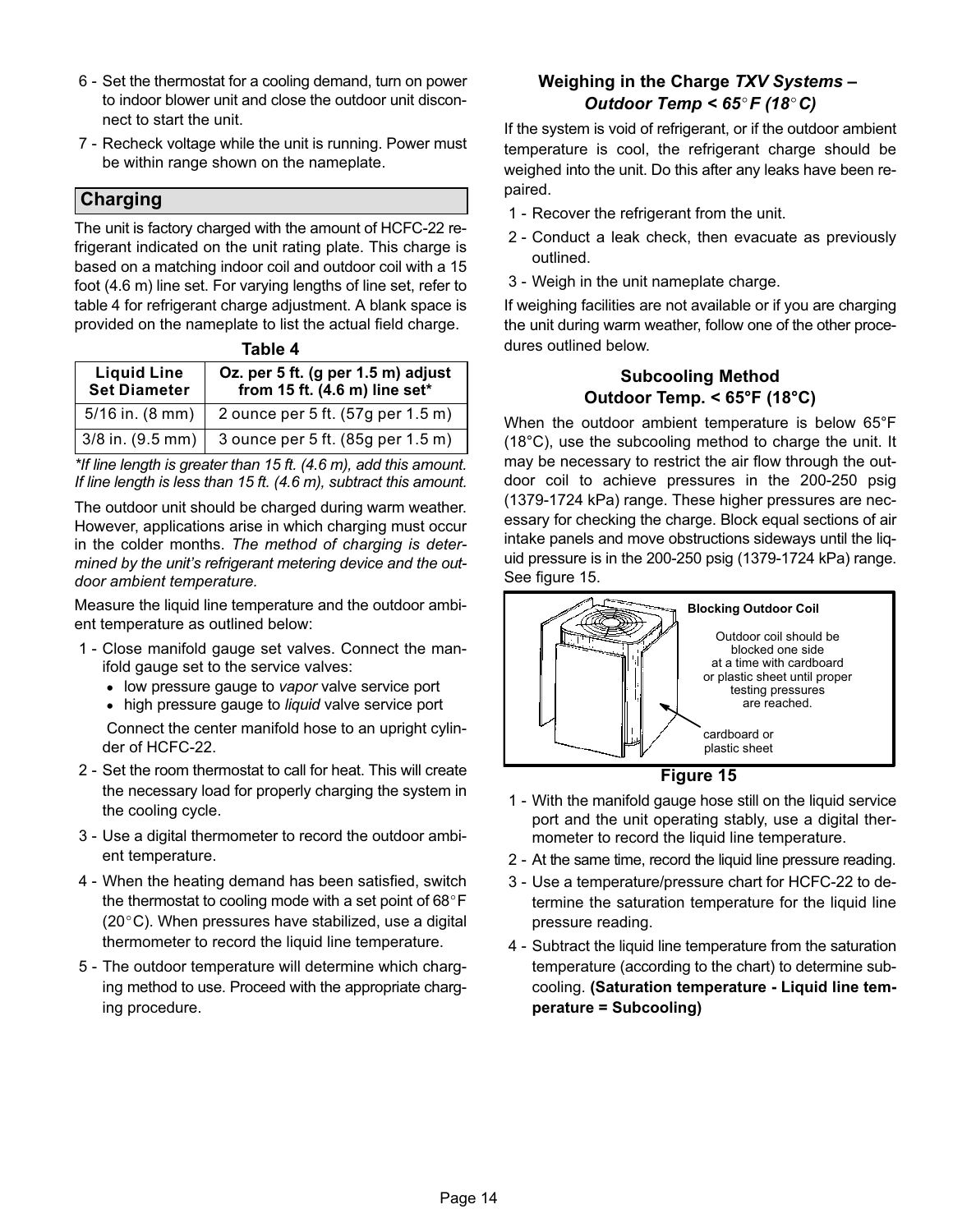- 6 − Set the thermostat for a cooling demand, turn on power to indoor blower unit and close the outdoor unit disconnect to start the unit.
- 7 Recheck voltage while the unit is running. Power must be within range shown on the nameplate.

### Charging

The unit is factory charged with the amount of HCFC-22 refrigerant indicated on the unit rating plate. This charge is based on a matching indoor coil and outdoor coil with a 15 foot (4.6 m) line set. For varying lengths of line set, refer to table 4 for refrigerant charge adjustment. A blank space is provided on the nameplate to list the actual field charge.

|                                           | Table 4                                                                       |
|-------------------------------------------|-------------------------------------------------------------------------------|
| <b>Liquid Line</b><br><b>Set Diameter</b> | Oz. per 5 ft. (g per 1.5 m) adjust<br>from 15 ft. $(4.6 \text{ m})$ line set* |
| $5/16$ in. $(8 \text{ mm})$               | 2 ounce per 5 ft. (57g per 1.5 m)                                             |
| $3/8$ in. $(9.5$ mm)                      | 3 ounce per 5 ft. (85g per 1.5 m)                                             |

\*If line length is greater than 15 ft. (4.6 m), add this amount. If line length is less than 15 ft. (4.6 m), subtract this amount.

The outdoor unit should be charged during warm weather. However, applications arise in which charging must occur in the colder months. The method of charging is determined by the unit's refrigerant metering device and the outdoor ambient temperature.

Measure the liquid line temperature and the outdoor ambient temperature as outlined below:

- 1 − Close manifold gauge set valves. Connect the manifold gauge set to the service valves:
	- low pressure gauge to vapor valve service port
	- high pressure gauge to liquid valve service port

 Connect the center manifold hose to an upright cylinder of HCFC-22.

- 2 Set the room thermostat to call for heat. This will create the necessary load for properly charging the system in the cooling cycle.
- 3 − Use a digital thermometer to record the outdoor ambient temperature.
- 4 − When the heating demand has been satisfied, switch the thermostat to cooling mode with a set point of  $68^{\circ}$ F (20°C). When pressures have stabilized, use a digital thermometer to record the liquid line temperature.
- 5 − The outdoor temperature will determine which charging method to use. Proceed with the appropriate charging procedure.

## Weighing in the Charge TXV Systems – Outdoor Temp <  $65^{\circ}$ F (18 $^{\circ}$ C)

If the system is void of refrigerant, or if the outdoor ambient temperature is cool, the refrigerant charge should be weighed into the unit. Do this after any leaks have been repaired.

- 1 Recover the refrigerant from the unit.
- 2 − Conduct a leak check, then evacuate as previously outlined.
- 3 − Weigh in the unit nameplate charge.

If weighing facilities are not available or if you are charging the unit during warm weather, follow one of the other procedures outlined below.

### Subcooling Method Outdoor Temp. < 65°F (18°C)

When the outdoor ambient temperature is below 65°F (18°C), use the subcooling method to charge the unit. It may be necessary to restrict the air flow through the outdoor coil to achieve pressures in the 200−250 psig (1379−1724 kPa) range. These higher pressures are necessary for checking the charge. Block equal sections of air intake panels and move obstructions sideways until the liquid pressure is in the 200−250 psig (1379−1724 kPa) range. See figure 15.



#### Figure 15

- 1 With the manifold gauge hose still on the liquid service port and the unit operating stably, use a digital thermometer to record the liquid line temperature.
- 2 At the same time, record the liquid line pressure reading.
- 3 − Use a temperature/pressure chart for HCFC-22 to determine the saturation temperature for the liquid line pressure reading.
- 4 − Subtract the liquid line temperature from the saturation temperature (according to the chart) to determine subcooling. (Saturation temperature − Liquid line temperature = Subcooling)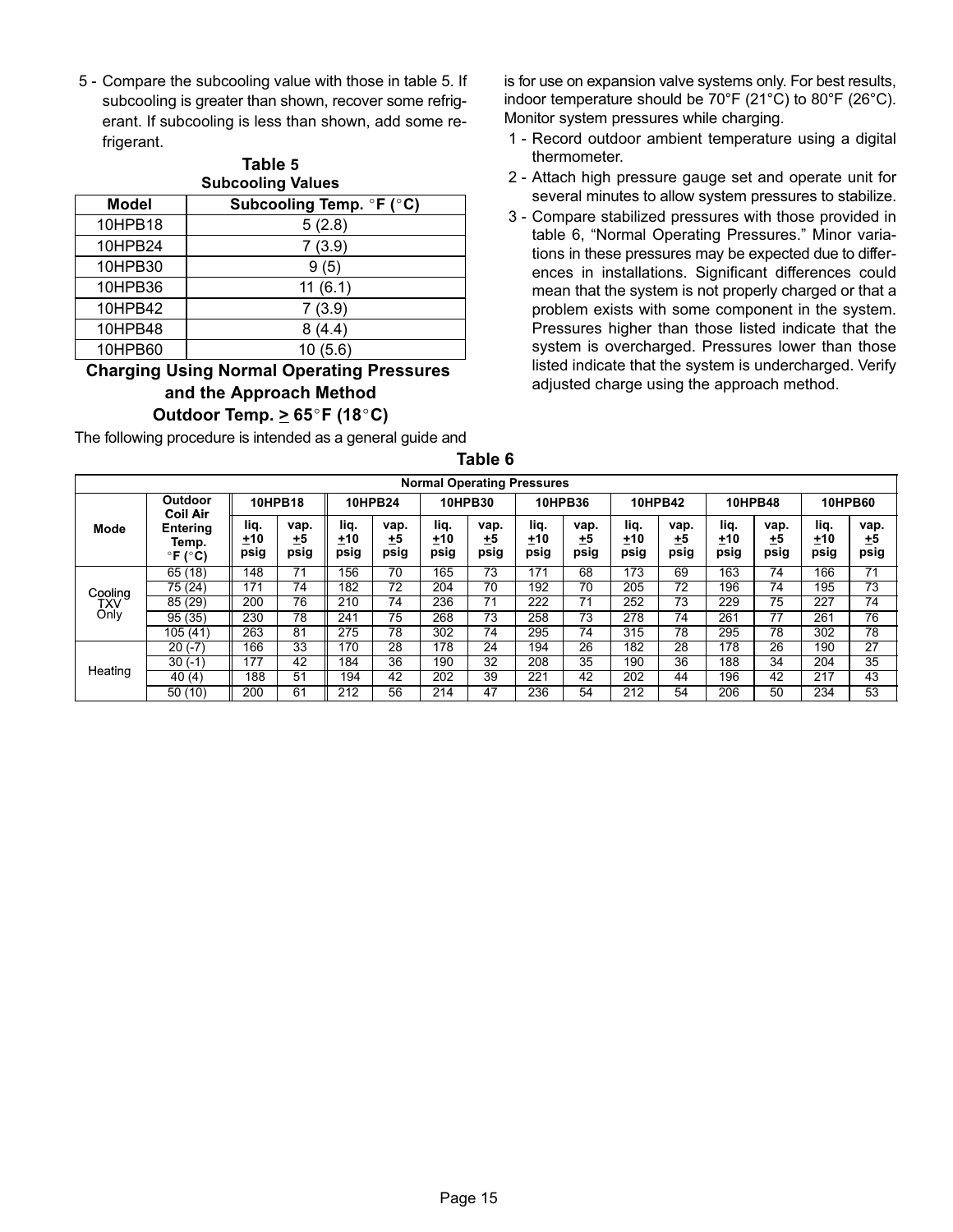<span id="page-14-0"></span>5 - Compare the subcooling value with those in table 5. If subcooling is greater than shown, recover some refrigerant. If subcooling is less than shown, add some refrigerant.

|              | Table 5<br><b>Subcooling Values</b> |
|--------------|-------------------------------------|
| <b>Model</b> | Subcooling Temp. °F (°C)            |
| 10HPB18      | 5(2.8)                              |
| 10HPB24      | 7(3.9)                              |
| 10HPB30      | 9(5)                                |
| 10HPB36      | 11(6.1)                             |
| 10HPB42      | 7(3.9)                              |
| 10HPB48      | 8(4.4)                              |
| 10HPB60      | 10 (5.6)                            |

#### Charging Using Normal Operating Pressures and the Approach Method Outdoor Temp.  $\geq 65^{\circ}$ F (18 $^{\circ}$ C)

The following procedure is intended as a general guide and

is for use on expansion valve systems only. For best results, indoor temperature should be 70°F (21°C) to 80°F (26°C). Monitor system pressures while charging.

- 1 − Record outdoor ambient temperature using a digital thermometer.
- 2 − Attach high pressure gauge set and operate unit for several minutes to allow system pressures to stabilize.
- 3 − Compare stabilized pressures with those provided in table 6, "Normal Operating Pressures." Minor variations in these pressures may be expected due to differences in installations. Significant differences could mean that the system is not properly charged or that a problem exists with some component in the system. Pressures higher than those listed indicate that the system is overcharged. Pressures lower than those listed indicate that the system is undercharged. Verify adjusted charge using the approach method.

|         | <b>Normal Operating Pressures</b>               |                     |                           |                     |                    |                     |                    |                     |                            |                       |                      |                       |                           |                     |                           |
|---------|-------------------------------------------------|---------------------|---------------------------|---------------------|--------------------|---------------------|--------------------|---------------------|----------------------------|-----------------------|----------------------|-----------------------|---------------------------|---------------------|---------------------------|
|         | Outdoor<br><b>Coil Air</b>                      |                     | <b>10HPB18</b>            |                     | <b>10HPB24</b>     |                     | <b>10HPB30</b>     |                     | 10HPB36                    |                       | 10HPB42              |                       | <b>10HPB48</b>            |                     | <b>10HPB60</b>            |
| Mode    | Enterina<br>Temp.<br>$\degree$ F ( $\degree$ C) | liq.<br>+10<br>psig | vap.<br><u>+5</u><br>psig | lig.<br>+10<br>psig | vap.<br>+5<br>psig | liq.<br>±10<br>psig | vap.<br>±5<br>psig | liq.<br>±10<br>psig | vap.<br><u>+</u> 5<br>psig | liq.<br>$+10$<br>psig | vap.<br>$+5$<br>psig | liq.<br>$+10$<br>psig | vap.<br><u>+5</u><br>psig | lig.<br>±10<br>psig | vap.<br><u>+5</u><br>psig |
|         | 65 (18)                                         | 148                 | 71                        | 156                 | 70                 | 165                 | 73                 | 171                 | 68                         | 173                   | 69                   | 163                   | 74                        | 166                 | $\overline{71}$           |
| Cooling | 75 (24)                                         | 171                 | 74                        | 182                 | 72                 | 204                 | 70                 | 192                 | 70                         | 205                   | 72                   | 196                   | 74                        | 195                 | 73                        |
| TXV     | 85(29)                                          | 200                 | 76                        | 210                 | $7\overline{4}$    | 236                 | 71                 | $22\overline{2}$    | $\overline{71}$            | 252                   | $7\overline{3}$      | 229                   | $\overline{75}$           | $\overline{227}$    | 74                        |
| Only    | 95(35)                                          | 230                 | $7\overline{8}$           | 241                 | $\overline{75}$    | 268                 | $\overline{73}$    | 258                 | $\overline{73}$            | 278                   | $\overline{74}$      | 261                   | 77                        | 261                 | 76                        |
|         | 105(41)                                         | 263                 | 81                        | 275                 | 78                 | 302                 | 74                 | 295                 | 74                         | 315                   | 78                   | 295                   | 78                        | 302                 | 78                        |
|         | $20(-7)$                                        | 166                 | 33                        | 170                 | 28                 | $1\overline{78}$    | 24                 | 194                 | $\overline{26}$            | 182                   | 28                   | 178                   | 26                        | 190                 | $\overline{27}$           |
|         | $30(-1)$                                        | 177                 | 42                        | 184                 | 36                 | 190                 | 32                 | 208                 | 35                         | 190                   | 36                   | 188                   | 34                        | 204                 | 35                        |
| Heating | 40 (4)                                          | 188                 | 51                        | 194                 | 42                 | 202                 | 39                 | 221                 | 42                         | 202                   | 44                   | 196                   | 42                        | 217                 | 43                        |
|         | 50(10)                                          | 200                 | 61                        | 212                 | 56                 | 214                 | 47                 | 236                 | 54                         | 212                   | 54                   | 206                   | 50                        | 234                 | 53                        |

Table 6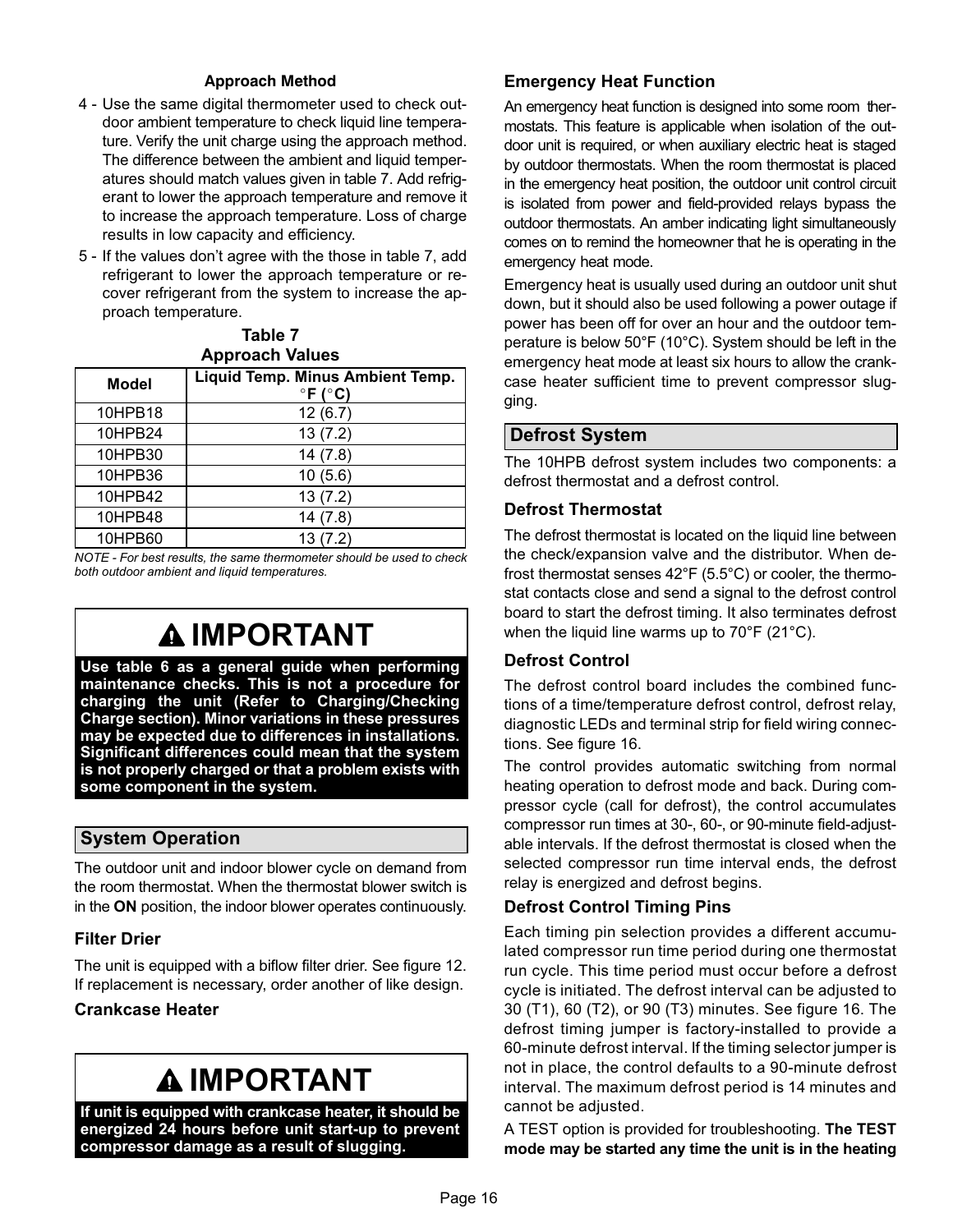#### Approach Method

- 4 − Use the same digital thermometer used to check outdoor ambient temperature to check liquid line temperature. Verify the unit charge using the approach method. The difference between the ambient and liquid temperatures should match values given in table 7. Add refrigerant to lower the approach temperature and remove it to increase the approach temperature. Loss of charge results in low capacity and efficiency.
- 5 − If the values don't agree with the those in table 7, add refrigerant to lower the approach temperature or recover refrigerant from the system to increase the approach temperature.

Table 7

| <b>Approach Values</b> |                                                                |  |  |  |  |
|------------------------|----------------------------------------------------------------|--|--|--|--|
| <b>Model</b>           | Liquid Temp. Minus Ambient Temp.<br>$\degree$ F ( $\degree$ C) |  |  |  |  |
| 10HPB18                | 12(6.7)                                                        |  |  |  |  |
| 10HPB24                | 13(7.2)                                                        |  |  |  |  |
| 10HPB30                | 14(7.8)                                                        |  |  |  |  |
| 10HPB36                | 10(5.6)                                                        |  |  |  |  |
| 10HPB42                | 13(7.2)                                                        |  |  |  |  |
| 10HPB48                | 14(7.8)                                                        |  |  |  |  |
| 10HPB60                | 13(7.2)                                                        |  |  |  |  |

NOTE − For best results, the same thermometer should be used to check both outdoor ambient and liquid temperatures.

# IMPORTANT

Use table [6](#page-14-0) as a general guide when performing maintenance checks. This is not a procedure for charging the unit (Refer to Charging/Checking Charge section). Minor variations in these pressures may be expected due to differences in installations. Significant differences could mean that the system is not properly charged or that a problem exists with some component in the system.

### System Operation

The outdoor unit and indoor blower cycle on demand from the room thermostat. When the thermostat blower switch is in the ON position, the indoor blower operates continuously.

#### Filter Drier

The unit is equipped with a biflow filter drier. See figure [12](#page-10-0). If replacement is necessary, order another of like design.

#### Crankcase Heater

# IMPORTANT

If unit is equipped with crankcase heater, it should be energized 24 hours before unit start−up to prevent compressor damage as a result of slugging.

#### Emergency Heat Function

An emergency heat function is designed into some room thermostats. This feature is applicable when isolation of the outdoor unit is required, or when auxiliary electric heat is staged by outdoor thermostats. When the room thermostat is placed in the emergency heat position, the outdoor unit control circuit is isolated from power and field-provided relays bypass the outdoor thermostats. An amber indicating light simultaneously comes on to remind the homeowner that he is operating in the emergency heat mode.

Emergency heat is usually used during an outdoor unit shut down, but it should also be used following a power outage if power has been off for over an hour and the outdoor temperature is below 50°F (10°C). System should be left in the emergency heat mode at least six hours to allow the crankcase heater sufficient time to prevent compressor slugging.

#### Defrost System

The 10HPB defrost system includes two components: a defrost thermostat and a defrost control.

#### Defrost Thermostat

The defrost thermostat is located on the liquid line between the check/expansion valve and the distributor. When defrost thermostat senses 42°F (5.5°C) or cooler, the thermostat contacts close and send a signal to the defrost control board to start the defrost timing. It also terminates defrost when the liquid line warms up to 70°F (21°C).

### Defrost Control

The defrost control board includes the combined functions of a time/temperature defrost control, defrost relay, diagnostic LEDs and terminal strip for field wiring connections. See figure [16.](#page-16-0)

The control provides automatic switching from normal heating operation to defrost mode and back. During compressor cycle (call for defrost), the control accumulates compressor run times at 30−, 60−, or 90−minute field−adjustable intervals. If the defrost thermostat is closed when the selected compressor run time interval ends, the defrost relay is energized and defrost begins.

### Defrost Control Timing Pins

Each timing pin selection provides a different accumulated compressor run time period during one thermostat run cycle. This time period must occur before a defrost cycle is initiated. The defrost interval can be adjusted to 30 (T1), 60 (T2), or 90 (T3) minutes. See figure [16](#page-16-0). The defrost timing jumper is factory−installed to provide a 60−minute defrost interval. If the timing selector jumper is not in place, the control defaults to a 90−minute defrost interval. The maximum defrost period is 14 minutes and cannot be adjusted.

A TEST option is provided for troubleshooting. The TEST mode may be started any time the unit is in the heating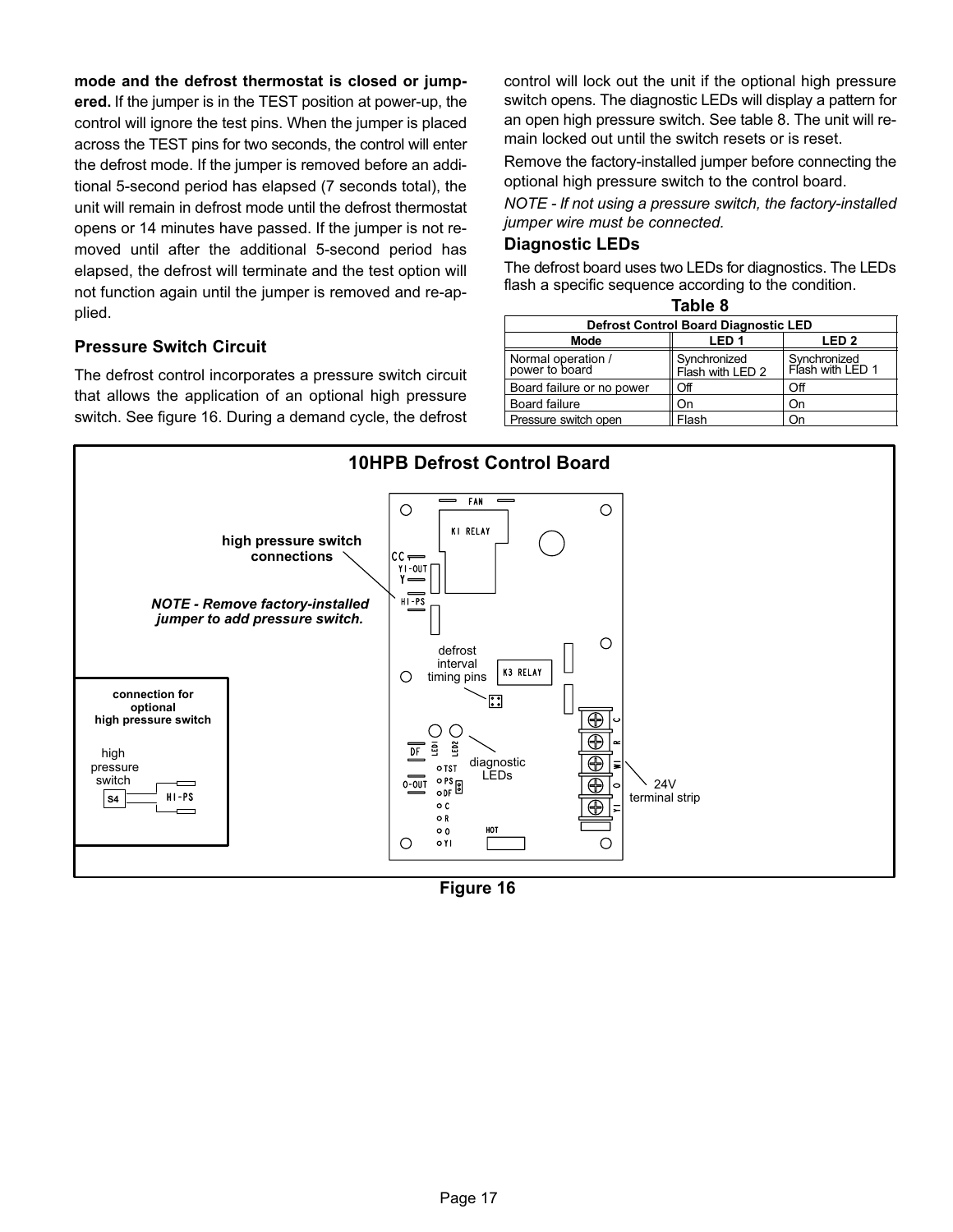<span id="page-16-0"></span>mode and the defrost thermostat is closed or jumpered. If the jumper is in the TEST position at power-up, the control will ignore the test pins. When the jumper is placed across the TEST pins for two seconds, the control will enter the defrost mode. If the jumper is removed before an additional 5−second period has elapsed (7 seconds total), the unit will remain in defrost mode until the defrost thermostat opens or 14 minutes have passed. If the jumper is not removed until after the additional 5−second period has elapsed, the defrost will terminate and the test option will not function again until the jumper is removed and re−applied.

control will lock out the unit if the optional high pressure switch opens. The diagnostic LEDs will display a pattern for an open high pressure switch. See table 8. The unit will remain locked out until the switch resets or is reset.

Remove the factory-installed jumper before connecting the optional high pressure switch to the control board.

NOTE − If not using a pressure switch, the factory-installed jumper wire must be connected.

#### Diagnostic LEDs

The defrost board uses two LEDs for diagnostics. The LEDs flash a specific sequence according to the condition.

| Table 8                                     |                                  |                                  |
|---------------------------------------------|----------------------------------|----------------------------------|
| <b>Defrost Control Board Diagnostic LED</b> |                                  |                                  |
| <b>Mode</b>                                 | LED <sub>1</sub>                 | LED <sub>2</sub>                 |
| Normal operation /<br>power to board        | Synchronized<br>Flash with LED 2 | Synchronized<br>Flash with LED 1 |
| Board failure or no power                   | Off                              | Off                              |
| Board failure                               | On                               | On                               |
| Pressure switch open                        | Flash                            | าท                               |

#### Pressure Switch Circuit

The defrost control incorporates a pressure switch circuit that allows the application of an optional high pressure switch. See figure 16. During a demand cycle, the defrost



Figure 16